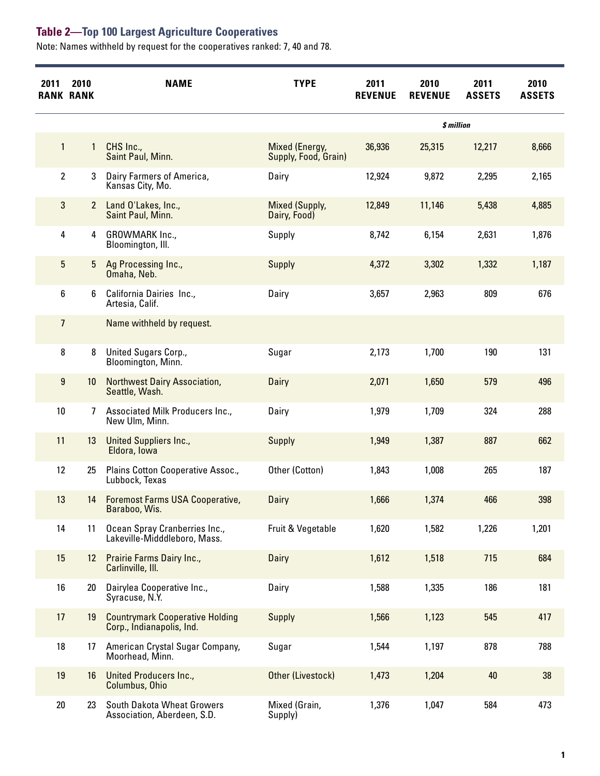Note: Names withheld by request for the cooperatives ranked: 7, 40 and 78.

| 2011            | 2010<br><b>RANK RANK</b> | <b>NAME</b>                                                         | <b>TYPE</b>                            | 2011<br><b>REVENUE</b> | 2010<br><b>REVENUE</b> | 2011<br><b>ASSETS</b> | 2010<br><b>ASSETS</b> |
|-----------------|--------------------------|---------------------------------------------------------------------|----------------------------------------|------------------------|------------------------|-----------------------|-----------------------|
|                 |                          |                                                                     |                                        |                        | \$ million             |                       |                       |
| $\mathbf{1}$    | 1                        | CHS Inc.,<br>Saint Paul, Minn.                                      | Mixed (Energy,<br>Supply, Food, Grain) | 36,936                 | 25,315                 | 12,217                | 8,666                 |
| $\overline{2}$  | 3                        | Dairy Farmers of America,<br>Kansas City, Mo.                       | Dairy                                  | 12,924                 | 9,872                  | 2,295                 | 2,165                 |
| 3               | $\mathbf{2}$             | Land O'Lakes, Inc.,<br>Saint Paul, Minn.                            | <b>Mixed (Supply,</b><br>Dairy, Food)  | 12,849                 | 11,146                 | 5,438                 | 4,885                 |
| 4               | 4                        | GROWMARK Inc.,<br>Bloomington, Ill.                                 | Supply                                 | 8,742                  | 6,154                  | 2,631                 | 1,876                 |
| 5               | 5                        | Ag Processing Inc.,<br>Omaha, Neb.                                  | Supply                                 | 4,372                  | 3,302                  | 1,332                 | 1,187                 |
| 6               | 6                        | California Dairies Inc.,<br>Artesia, Calif.                         | Dairy                                  | 3,657                  | 2,963                  | 809                   | 676                   |
| $\overline{7}$  |                          | Name withheld by request.                                           |                                        |                        |                        |                       |                       |
| 8               | 8                        | United Sugars Corp.,<br>Bloomington, Minn.                          | Sugar                                  | 2,173                  | 1,700                  | 190                   | 131                   |
| 9               | 10 <sup>°</sup>          | <b>Northwest Dairy Association,</b><br>Seattle, Wash.               | Dairy                                  | 2,071                  | 1,650                  | 579                   | 496                   |
| 10 <sup>°</sup> | 7                        | Associated Milk Producers Inc.,<br>New Ulm, Minn.                   | Dairy                                  | 1,979                  | 1,709                  | 324                   | 288                   |
| 11              | 13                       | <b>United Suppliers Inc.,</b><br>Eldora, Iowa                       | <b>Supply</b>                          | 1,949                  | 1,387                  | 887                   | 662                   |
| 12              | 25                       | Plains Cotton Cooperative Assoc.,<br>Lubbock, Texas                 | Other (Cotton)                         | 1,843                  | 1,008                  | 265                   | 187                   |
| 13              | 14                       | <b>Foremost Farms USA Cooperative,</b><br>Baraboo, Wis.             | Dairy                                  | 1,666                  | 1,374                  | 466                   | 398                   |
| 14              | 11                       | Ocean Spray Cranberries Inc.,<br>Lakeville-Midddleboro, Mass.       | Fruit & Vegetable                      | 1,620                  | 1,582                  | 1,226                 | 1,201                 |
| 15              | 12 <sup>2</sup>          | Prairie Farms Dairy Inc.,<br>Carlinville, Ill.                      | Dairy                                  | 1,612                  | 1,518                  | 715                   | 684                   |
| 16              | 20                       | Dairylea Cooperative Inc.,<br>Syracuse, N.Y.                        | Dairy                                  | 1,588                  | 1,335                  | 186                   | 181                   |
| 17              | 19                       | <b>Countrymark Cooperative Holding</b><br>Corp., Indianapolis, Ind. | <b>Supply</b>                          | 1,566                  | 1,123                  | 545                   | 417                   |
| 18              | 17                       | American Crystal Sugar Company,<br>Moorhead, Minn.                  | Sugar                                  | 1,544                  | 1,197                  | 878                   | 788                   |
| 19              | 16                       | <b>United Producers Inc.,</b><br>Columbus, Ohio                     | Other (Livestock)                      | 1,473                  | 1,204                  | 40                    | 38                    |
| $20\,$          | 23                       | South Dakota Wheat Growers<br>Association, Aberdeen, S.D.           | Mixed (Grain,<br>Supply)               | 1,376                  | 1,047                  | 584                   | 473                   |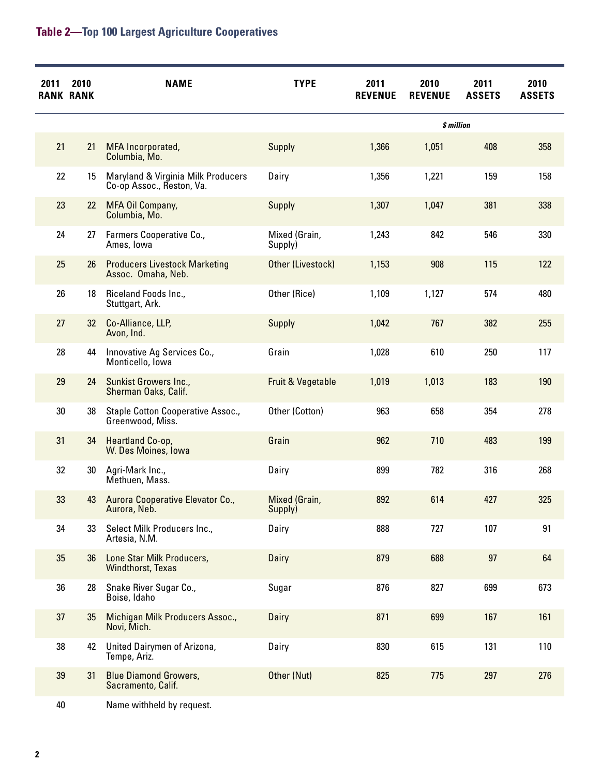| 2011 | 2010<br><b>RANK RANK</b> | <b>NAME</b>                                                     | <b>TYPE</b>              | 2011<br><b>REVENUE</b> | 2010<br><b>REVENUE</b> | 2011<br><b>ASSETS</b> | 2010<br><b>ASSETS</b> |
|------|--------------------------|-----------------------------------------------------------------|--------------------------|------------------------|------------------------|-----------------------|-----------------------|
|      |                          |                                                                 |                          |                        | \$ million             |                       |                       |
| 21   | 21                       | MFA Incorporated,<br>Columbia, Mo.                              | <b>Supply</b>            | 1,366                  | 1,051                  | 408                   | 358                   |
| 22   | 15                       | Maryland & Virginia Milk Producers<br>Co-op Assoc., Reston, Va. | Dairy                    | 1,356                  | 1,221                  | 159                   | 158                   |
| 23   | 22                       | MFA Oil Company,<br>Columbia, Mo.                               | <b>Supply</b>            | 1,307                  | 1,047                  | 381                   | 338                   |
| 24   | 27                       | Farmers Cooperative Co.,<br>Ames, Iowa                          | Mixed (Grain,<br>Supply) | 1,243                  | 842                    | 546                   | 330                   |
| 25   | 26                       | <b>Producers Livestock Marketing</b><br>Assoc. Omaha, Neb.      | Other (Livestock)        | 1,153                  | 908                    | 115                   | 122                   |
| 26   | 18                       | Riceland Foods Inc.,<br>Stuttgart, Ark.                         | Other (Rice)             | 1,109                  | 1,127                  | 574                   | 480                   |
| 27   | 32                       | Co-Alliance, LLP,<br>Avon, Ind.                                 | <b>Supply</b>            | 1,042                  | 767                    | 382                   | 255                   |
| 28   | 44                       | Innovative Ag Services Co.,<br>Monticello, Iowa                 | Grain                    | 1,028                  | 610                    | 250                   | 117                   |
| 29   | 24                       | <b>Sunkist Growers Inc.,</b><br>Sherman Oaks, Calif.            | Fruit & Vegetable        | 1,019                  | 1,013                  | 183                   | 190                   |
| 30   | 38                       | Staple Cotton Cooperative Assoc.,<br>Greenwood, Miss.           | Other (Cotton)           | 963                    | 658                    | 354                   | 278                   |
| 31   | 34                       | Heartland Co-op,<br>W. Des Moines, Iowa                         | Grain                    | 962                    | 710                    | 483                   | 199                   |
| 32   | 30                       | Agri-Mark Inc.,<br>Methuen, Mass.                               | Dairy                    | 899                    | 782                    | 316                   | 268                   |
| 33   | 43                       | Aurora Cooperative Elevator Co.,<br>Aurora, Neb.                | Mixed (Grain,<br>Supply) | 892                    | 614                    | 427                   | 325                   |
| 34   | 33                       | Select Milk Producers Inc.,<br>Artesia, N.M.                    | Dairy                    | 888                    | 727                    | 107                   | 91                    |
| 35   | 36                       | Lone Star Milk Producers,<br><b>Windthorst, Texas</b>           | Dairy                    | 879                    | 688                    | 97                    | 64                    |
| 36   | 28                       | Snake River Sugar Co.,<br>Boise, Idaho                          | Sugar                    | 876                    | 827                    | 699                   | 673                   |
| 37   | 35                       | Michigan Milk Producers Assoc.,<br>Novi, Mich.                  | Dairy                    | 871                    | 699                    | 167                   | 161                   |
| 38   | 42                       | United Dairymen of Arizona,<br>Tempe, Ariz.                     | Dairy                    | 830                    | 615                    | 131                   | 110                   |
| 39   | 31                       | <b>Blue Diamond Growers,</b><br>Sacramento, Calif.              | Other (Nut)              | 825                    | 775                    | 297                   | 276                   |
| 40   |                          | Name withheld by request.                                       |                          |                        |                        |                       |                       |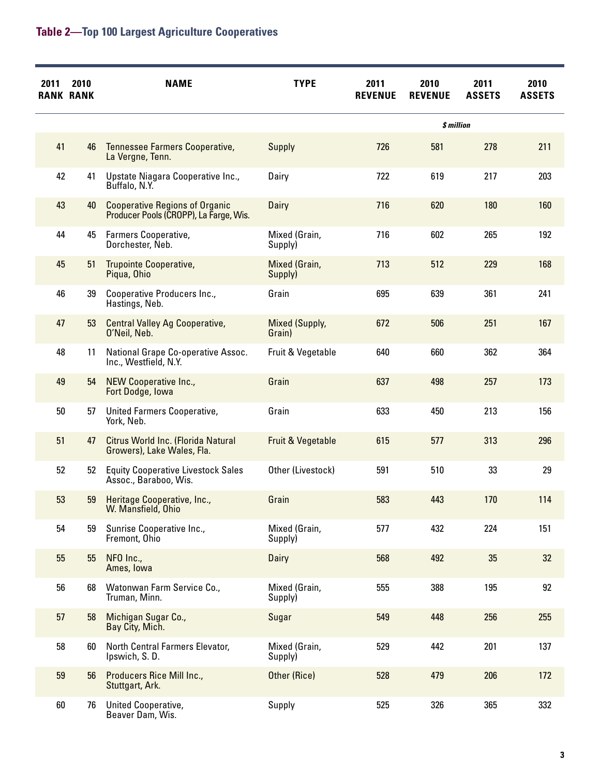| 2011 | 2010<br><b>RANK RANK</b> | <b>NAME</b>                                                                     | <b>TYPE</b>              | 2011<br><b>REVENUE</b> | 2010<br><b>REVENUE</b> | 2011<br><b>ASSETS</b> | 2010<br><b>ASSETS</b> |
|------|--------------------------|---------------------------------------------------------------------------------|--------------------------|------------------------|------------------------|-----------------------|-----------------------|
|      |                          |                                                                                 |                          |                        | \$ million             |                       |                       |
| 41   | 46                       | Tennessee Farmers Cooperative,<br>La Vergne, Tenn.                              | Supply                   | 726                    | 581                    | 278                   | 211                   |
| 42   | 41                       | Upstate Niagara Cooperative Inc.,<br>Buffalo, N.Y.                              | Dairy                    | 722                    | 619                    | 217                   | 203                   |
| 43   | 40                       | <b>Cooperative Regions of Organic</b><br>Producer Pools (CROPP), La Farge, Wis. | Dairy                    | 716                    | 620                    | 180                   | 160                   |
| 44   | 45                       | Farmers Cooperative,<br>Dorchester, Neb.                                        | Mixed (Grain,<br>Supply) | 716                    | 602                    | 265                   | 192                   |
| 45   | 51                       | Trupointe Cooperative,<br>Piqua, Ohio                                           | Mixed (Grain,<br>Supply) | 713                    | 512                    | 229                   | 168                   |
| 46   | 39                       | Cooperative Producers Inc.,<br>Hastings, Neb.                                   | Grain                    | 695                    | 639                    | 361                   | 241                   |
| 47   | 53                       | <b>Central Valley Ag Cooperative,</b><br>O'Neil, Neb.                           | Mixed (Supply,<br>Grain) | 672                    | 506                    | 251                   | 167                   |
| 48   | 11                       | National Grape Co-operative Assoc.<br>Inc., Westfield, N.Y.                     | Fruit & Vegetable        | 640                    | 660                    | 362                   | 364                   |
| 49   | 54                       | NEW Cooperative Inc.,<br>Fort Dodge, Iowa                                       | Grain                    | 637                    | 498                    | 257                   | 173                   |
| 50   | 57                       | United Farmers Cooperative,<br>York, Neb.                                       | Grain                    | 633                    | 450                    | 213                   | 156                   |
| 51   | 47                       | Citrus World Inc. (Florida Natural<br>Growers), Lake Wales, Fla.                | Fruit & Vegetable        | 615                    | 577                    | 313                   | 296                   |
| 52   | 52                       | <b>Equity Cooperative Livestock Sales</b><br>Assoc., Baraboo, Wis.              | Other (Livestock)        | 591                    | 510                    | 33                    | 29                    |
| 53   | 59                       | Heritage Cooperative, Inc.,<br>W. Mansfield, Ohio                               | Grain                    | 583                    | 443                    | 170                   | 114                   |
| 54   | 59                       | Sunrise Cooperative Inc.,<br>Fremont, Ohio                                      | Mixed (Grain,<br>Supply) | 577                    | 432                    | 224                   | 151                   |
| 55   | 55                       | NFO Inc.,<br>Ames, Iowa                                                         | Dairy                    | 568                    | 492                    | 35                    | 32                    |
| 56   | 68                       | Watonwan Farm Service Co.,<br>Truman, Minn.                                     | Mixed (Grain,<br>Supply) | 555                    | 388                    | 195                   | 92                    |
| 57   | 58                       | Michigan Sugar Co.,<br>Bay City, Mich.                                          | Sugar                    | 549                    | 448                    | 256                   | 255                   |
| 58   | 60                       | North Central Farmers Elevator,<br>Ipswich, S.D.                                | Mixed (Grain,<br>Supply) | 529                    | 442                    | 201                   | 137                   |
| 59   | 56                       | Producers Rice Mill Inc.,<br>Stuttgart, Ark.                                    | Other (Rice)             | 528                    | 479                    | 206                   | 172                   |
| 60   | 76                       | United Cooperative,<br>Beaver Dam, Wis.                                         | Supply                   | 525                    | 326                    | 365                   | 332                   |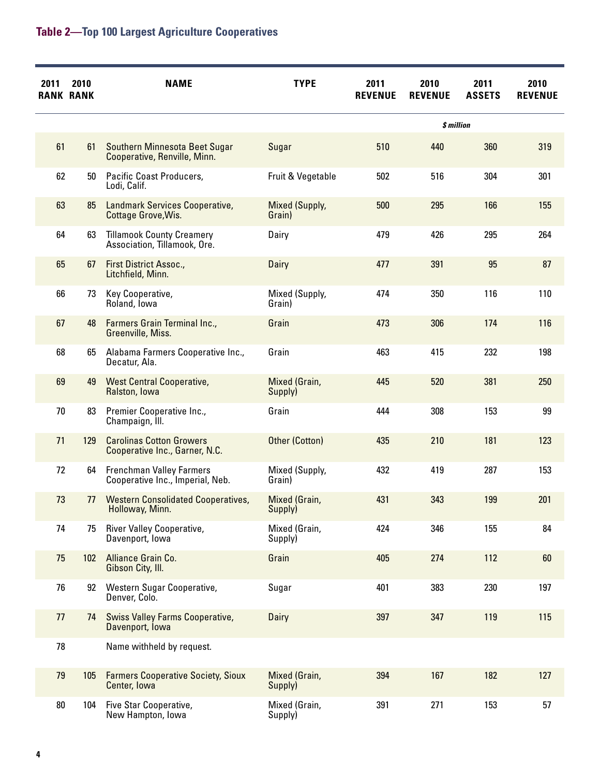| 2011   | 2010<br><b>RANK RANK</b> | <b>NAME</b>                                                         | <b>TYPE</b>              | 2011<br><b>REVENUE</b> | 2010<br><b>REVENUE</b> | 2011<br><b>ASSETS</b> | 2010<br><b>REVENUE</b> |
|--------|--------------------------|---------------------------------------------------------------------|--------------------------|------------------------|------------------------|-----------------------|------------------------|
|        |                          |                                                                     |                          |                        | \$ million             |                       |                        |
| 61     | 61                       | Southern Minnesota Beet Sugar<br>Cooperative, Renville, Minn.       | Sugar                    | 510                    | 440                    | 360                   | 319                    |
| 62     | 50                       | Pacific Coast Producers,<br>Lodi, Calif.                            | Fruit & Vegetable        | 502                    | 516                    | 304                   | 301                    |
| 63     | 85                       | Landmark Services Cooperative,<br>Cottage Grove, Wis.               | Mixed (Supply,<br>Grain) | 500                    | 295                    | 166                   | 155                    |
| 64     | 63                       | <b>Tillamook County Creamery</b><br>Association, Tillamook, Ore.    | Dairy                    | 479                    | 426                    | 295                   | 264                    |
| 65     | 67                       | First District Assoc.,<br>Litchfield, Minn.                         | Dairy                    | 477                    | 391                    | 95                    | 87                     |
| 66     | 73                       | Key Cooperative,<br>Roland, lowa                                    | Mixed (Supply,<br>Grain) | 474                    | 350                    | 116                   | 110                    |
| 67     | 48                       | <b>Farmers Grain Terminal Inc.,</b><br>Greenville, Miss.            | Grain                    | 473                    | 306                    | 174                   | 116                    |
| 68     | 65                       | Alabama Farmers Cooperative Inc.,<br>Decatur, Ala.                  | Grain                    | 463                    | 415                    | 232                   | 198                    |
| 69     | 49                       | <b>West Central Cooperative,</b><br>Ralston, Iowa                   | Mixed (Grain,<br>Supply) | 445                    | 520                    | 381                   | 250                    |
| 70     | 83                       | Premier Cooperative Inc.,<br>Champaign, Ill.                        | Grain                    | 444                    | 308                    | 153                   | 99                     |
| 71     | 129                      | <b>Carolinas Cotton Growers</b><br>Cooperative Inc., Garner, N.C.   | Other (Cotton)           | 435                    | 210                    | 181                   | 123                    |
| 72     | 64                       | <b>Frenchman Valley Farmers</b><br>Cooperative Inc., Imperial, Neb. | Mixed (Supply,<br>Grain) | 432                    | 419                    | 287                   | 153                    |
| 73     | 77                       | <b>Western Consolidated Cooperatives,</b><br>Holloway, Minn.        | Mixed (Grain,<br>Supply) | 431                    | 343                    | 199                   | 201                    |
| 74     | 75                       | River Valley Cooperative,<br>Davenport, lowa                        | Mixed (Grain,<br>Supply) | 424                    | 346                    | 155                   | 84                     |
| 75     | 102                      | Alliance Grain Co.<br>Gibson City, III.                             | Grain                    | 405                    | 274                    | 112                   | 60                     |
| 76     | 92                       | Western Sugar Cooperative,<br>Denver, Colo.                         | Sugar                    | 401                    | 383                    | 230                   | 197                    |
| 77     | 74                       | <b>Swiss Valley Farms Cooperative,</b><br>Davenport, lowa           | Dairy                    | 397                    | 347                    | 119                   | 115                    |
| 78     |                          | Name withheld by request.                                           |                          |                        |                        |                       |                        |
| 79     | 105                      | <b>Farmers Cooperative Society, Sioux</b><br>Center, Iowa           | Mixed (Grain,<br>Supply) | 394                    | 167                    | 182                   | 127                    |
| $80\,$ | 104                      | Five Star Cooperative,<br>New Hampton, Iowa                         | Mixed (Grain,<br>Supply) | 391                    | 271                    | 153                   | 57                     |